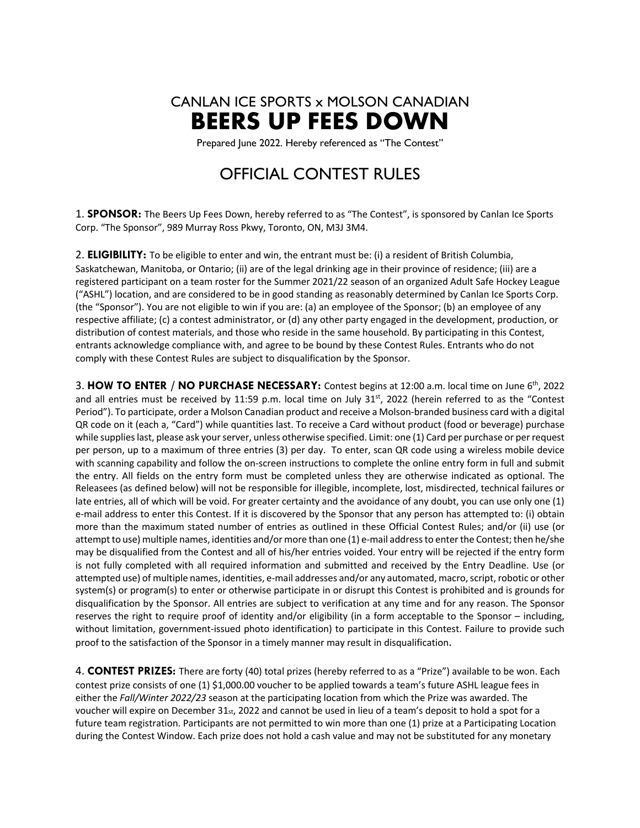

Prepared June 2022. Hereby referenced as "The Contest"

## OFFICIAL CONTEST RULES

1. **SPONSOR:** The Beers Up Fees Down, hereby referred to as "The Contest", is sponsored by Canlan Ice Sports Corp. "The Sponsor", 989 Murray Ross Pkwy, Toronto, ON, M3J 3M4.

2. **ELIGIBILITY:** To be eligible to enter and win, the entrant must be: (i) a resident of British Columbia, Saskatchewan, Manitoba, or Ontario; (ii) are of the legal drinking age in their province of residence; (iii) are a registered participant on a team roster for the Summer 2021/22 season of an organized Adult Safe Hockey League ("ASHL") location, and are considered to be in good standing as reasonably determined by Canlan Ice Sports Corp. (the "Sponsor"). You are not eligible to win if you are: (a) an employee of the Sponsor; (b) an employee of any respective affiliate; (c) a contest administrator, or (d) any other party engaged in the development, production, or distribution of contest materials, and those who reside in the same household. By participating in this Contest, entrants acknowledge compliance with, and agree to be bound by these Contest Rules. Entrants who do not comply with these Contest Rules are subject to disqualification by the Sponsor.

3. **HOW TO ENTER / NO PURCHASE NECESSARY:** Contest begins at 12:00 a.m. local time on June 6th, 2022 and all entries must be received by 11:59 p.m. local time on July  $31<sup>st</sup>$ , 2022 (herein referred to as the "Contest Period"). To participate, order a Molson Canadian product and receive a Molson-branded business card with a digital QR code on it (each a, "Card") while quantities last. To receive a Card without product (food or beverage) purchase while supplies last, please ask your server, unless otherwise specified. Limit: one (1) Card per purchase or per request per person, up to a maximum of three entries (3) per day. To enter, scan QR code using a wireless mobile device with scanning capability and follow the on-screen instructions to complete the online entry form in full and submit the entry. All fields on the entry form must be completed unless they are otherwise indicated as optional. The Releasees (as defined below) will not be responsible for illegible, incomplete, lost, misdirected, technical failures or late entries, all of which will be void. For greater certainty and the avoidance of any doubt, you can use only one (1) e-mail address to enter this Contest. If it is discovered by the Sponsor that any person has attempted to: (i) obtain more than the maximum stated number of entries as outlined in these Official Contest Rules; and/or (ii) use (or attempt to use) multiple names, identities and/or more than one (1) e-mail address to enter the Contest; then he/she may be disqualified from the Contest and all of his/her entries voided. Your entry will be rejected if the entry form is not fully completed with all required information and submitted and received by the Entry Deadline. Use (or attempted use) of multiple names, identities, e-mail addresses and/or any automated, macro, script, robotic or other system(s) or program(s) to enter or otherwise participate in or disrupt this Contest is prohibited and is grounds for disqualification by the Sponsor. All entries are subject to verification at any time and for any reason. The Sponsor reserves the right to require proof of identity and/or eligibility (in a form acceptable to the Sponsor – including, without limitation, government-issued photo identification) to participate in this Contest. Failure to provide such proof to the satisfaction of the Sponsor in a timely manner may result in disqualification.

4. **CONTEST PRIZES:** There are forty (40) total prizes (hereby referred to as a "Prize") available to be won. Each contest prize consists of one (1) \$1,000.00 voucher to be applied towards a team's future ASHL league fees in either the *Fall/Winter 2022/23* season at the participating location from which the Prize was awarded. The voucher will expire on December 31st, 2022 and cannot be used in lieu of a team's deposit to hold a spot for a future team registration. Participants are not permitted to win more than one (1) prize at a Participating Location during the Contest Window. Each prize does not hold a cash value and may not be substituted for any monetary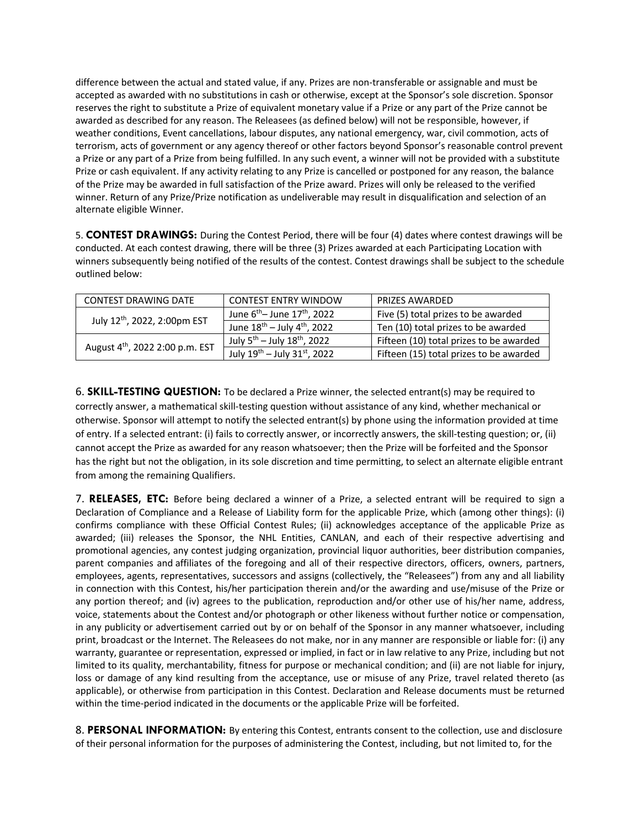difference between the actual and stated value, if any. Prizes are non-transferable or assignable and must be accepted as awarded with no substitutions in cash or otherwise, except at the Sponsor's sole discretion. Sponsor reserves the right to substitute a Prize of equivalent monetary value if a Prize or any part of the Prize cannot be awarded as described for any reason. The Releasees (as defined below) will not be responsible, however, if weather conditions, Event cancellations, labour disputes, any national emergency, war, civil commotion, acts of terrorism, acts of government or any agency thereof or other factors beyond Sponsor's reasonable control prevent a Prize or any part of a Prize from being fulfilled. In any such event, a winner will not be provided with a substitute Prize or cash equivalent. If any activity relating to any Prize is cancelled or postponed for any reason, the balance of the Prize may be awarded in full satisfaction of the Prize award. Prizes will only be released to the verified winner. Return of any Prize/Prize notification as undeliverable may result in disqualification and selection of an alternate eligible Winner.

5. **CONTEST DRAWINGS:** During the Contest Period, there will be four (4) dates where contest drawings will be conducted. At each contest drawing, there will be three (3) Prizes awarded at each Participating Location with winners subsequently being notified of the results of the contest. Contest drawings shall be subject to the schedule outlined below:

| CONTEST DRAWING DATE                        | <b>CONTEST ENTRY WINDOW</b>                  | <b>PRIZES AWARDED</b>                   |
|---------------------------------------------|----------------------------------------------|-----------------------------------------|
| July 12th, 2022, 2:00pm EST                 | June $6^{th}$ – June 17 <sup>th</sup> , 2022 | Five (5) total prizes to be awarded     |
|                                             | June $18^{th}$ – July $4^{th}$ , 2022        | Ten (10) total prizes to be awarded     |
| August 4 <sup>th</sup> , 2022 2:00 p.m. EST | July $5^{th}$ – July 18 <sup>th</sup> , 2022 | Fifteen (10) total prizes to be awarded |
|                                             | July 19th - July 31st, 2022                  | Fifteen (15) total prizes to be awarded |

6. **SKILL-TESTING QUESTION:** To be declared a Prize winner, the selected entrant(s) may be required to correctly answer, a mathematical skill-testing question without assistance of any kind, whether mechanical or otherwise. Sponsor will attempt to notify the selected entrant(s) by phone using the information provided at time of entry. If a selected entrant: (i) fails to correctly answer, or incorrectly answers, the skill-testing question; or, (ii) cannot accept the Prize as awarded for any reason whatsoever; then the Prize will be forfeited and the Sponsor has the right but not the obligation, in its sole discretion and time permitting, to select an alternate eligible entrant from among the remaining Qualifiers.

7. **RELEASES, ETC:** Before being declared a winner of a Prize, a selected entrant will be required to sign a Declaration of Compliance and a Release of Liability form for the applicable Prize, which (among other things): (i) confirms compliance with these Official Contest Rules; (ii) acknowledges acceptance of the applicable Prize as awarded; (iii) releases the Sponsor, the NHL Entities, CANLAN, and each of their respective advertising and promotional agencies, any contest judging organization, provincial liquor authorities, beer distribution companies, parent companies and affiliates of the foregoing and all of their respective directors, officers, owners, partners, employees, agents, representatives, successors and assigns (collectively, the "Releasees") from any and all liability in connection with this Contest, his/her participation therein and/or the awarding and use/misuse of the Prize or any portion thereof; and (iv) agrees to the publication, reproduction and/or other use of his/her name, address, voice, statements about the Contest and/or photograph or other likeness without further notice or compensation, in any publicity or advertisement carried out by or on behalf of the Sponsor in any manner whatsoever, including print, broadcast or the Internet. The Releasees do not make, nor in any manner are responsible or liable for: (i) any warranty, guarantee or representation, expressed or implied, in fact or in law relative to any Prize, including but not limited to its quality, merchantability, fitness for purpose or mechanical condition; and (ii) are not liable for injury, loss or damage of any kind resulting from the acceptance, use or misuse of any Prize, travel related thereto (as applicable), or otherwise from participation in this Contest. Declaration and Release documents must be returned within the time-period indicated in the documents or the applicable Prize will be forfeited.

8. **PERSONAL INFORMATION:** By entering this Contest, entrants consent to the collection, use and disclosure of their personal information for the purposes of administering the Contest, including, but not limited to, for the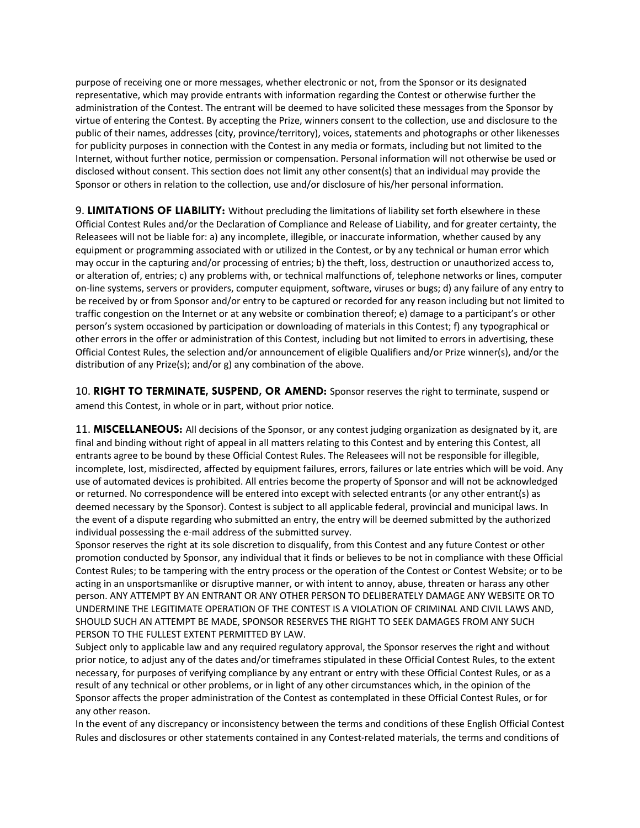purpose of receiving one or more messages, whether electronic or not, from the Sponsor or its designated representative, which may provide entrants with information regarding the Contest or otherwise further the administration of the Contest. The entrant will be deemed to have solicited these messages from the Sponsor by virtue of entering the Contest. By accepting the Prize, winners consent to the collection, use and disclosure to the public of their names, addresses (city, province/territory), voices, statements and photographs or other likenesses for publicity purposes in connection with the Contest in any media or formats, including but not limited to the Internet, without further notice, permission or compensation. Personal information will not otherwise be used or disclosed without consent. This section does not limit any other consent(s) that an individual may provide the Sponsor or others in relation to the collection, use and/or disclosure of his/her personal information.

9. **LIMITATIONS OF LIABILITY:** Without precluding the limitations of liability set forth elsewhere in these Official Contest Rules and/or the Declaration of Compliance and Release of Liability, and for greater certainty, the Releasees will not be liable for: a) any incomplete, illegible, or inaccurate information, whether caused by any equipment or programming associated with or utilized in the Contest, or by any technical or human error which may occur in the capturing and/or processing of entries; b) the theft, loss, destruction or unauthorized access to, or alteration of, entries; c) any problems with, or technical malfunctions of, telephone networks or lines, computer on-line systems, servers or providers, computer equipment, software, viruses or bugs; d) any failure of any entry to be received by or from Sponsor and/or entry to be captured or recorded for any reason including but not limited to traffic congestion on the Internet or at any website or combination thereof; e) damage to a participant's or other person's system occasioned by participation or downloading of materials in this Contest; f) any typographical or other errors in the offer or administration of this Contest, including but not limited to errors in advertising, these Official Contest Rules, the selection and/or announcement of eligible Qualifiers and/or Prize winner(s), and/or the distribution of any Prize(s); and/or g) any combination of the above.

10. **RIGHT TO TERMINATE, SUSPEND, OR AMEND:** Sponsor reserves the right to terminate, suspend or amend this Contest, in whole or in part, without prior notice.

11. **MISCELLANEOUS:** All decisions of the Sponsor, or any contest judging organization as designated by it, are final and binding without right of appeal in all matters relating to this Contest and by entering this Contest, all entrants agree to be bound by these Official Contest Rules. The Releasees will not be responsible for illegible, incomplete, lost, misdirected, affected by equipment failures, errors, failures or late entries which will be void. Any use of automated devices is prohibited. All entries become the property of Sponsor and will not be acknowledged or returned. No correspondence will be entered into except with selected entrants (or any other entrant(s) as deemed necessary by the Sponsor). Contest is subject to all applicable federal, provincial and municipal laws. In the event of a dispute regarding who submitted an entry, the entry will be deemed submitted by the authorized individual possessing the e-mail address of the submitted survey.

Sponsor reserves the right at its sole discretion to disqualify, from this Contest and any future Contest or other promotion conducted by Sponsor, any individual that it finds or believes to be not in compliance with these Official Contest Rules; to be tampering with the entry process or the operation of the Contest or Contest Website; or to be acting in an unsportsmanlike or disruptive manner, or with intent to annoy, abuse, threaten or harass any other person. ANY ATTEMPT BY AN ENTRANT OR ANY OTHER PERSON TO DELIBERATELY DAMAGE ANY WEBSITE OR TO UNDERMINE THE LEGITIMATE OPERATION OF THE CONTEST IS A VIOLATION OF CRIMINAL AND CIVIL LAWS AND, SHOULD SUCH AN ATTEMPT BE MADE, SPONSOR RESERVES THE RIGHT TO SEEK DAMAGES FROM ANY SUCH PERSON TO THE FULLEST EXTENT PERMITTED BY LAW.

Subject only to applicable law and any required regulatory approval, the Sponsor reserves the right and without prior notice, to adjust any of the dates and/or timeframes stipulated in these Official Contest Rules, to the extent necessary, for purposes of verifying compliance by any entrant or entry with these Official Contest Rules, or as a result of any technical or other problems, or in light of any other circumstances which, in the opinion of the Sponsor affects the proper administration of the Contest as contemplated in these Official Contest Rules, or for any other reason.

In the event of any discrepancy or inconsistency between the terms and conditions of these English Official Contest Rules and disclosures or other statements contained in any Contest-related materials, the terms and conditions of